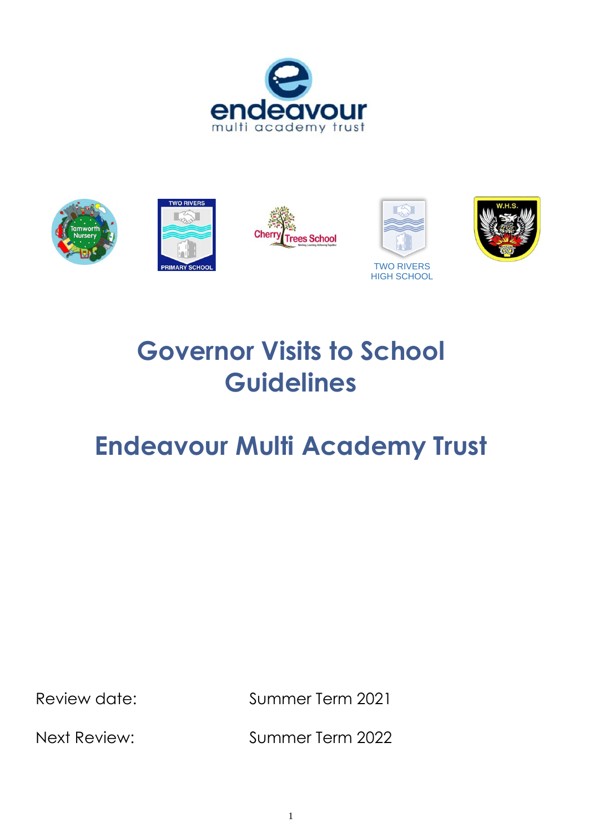



# **Governor Visits to School Guidelines**

## **Endeavour Multi Academy Trust**

Review date: Summer Term 2021

Next Review: Summer Term 2022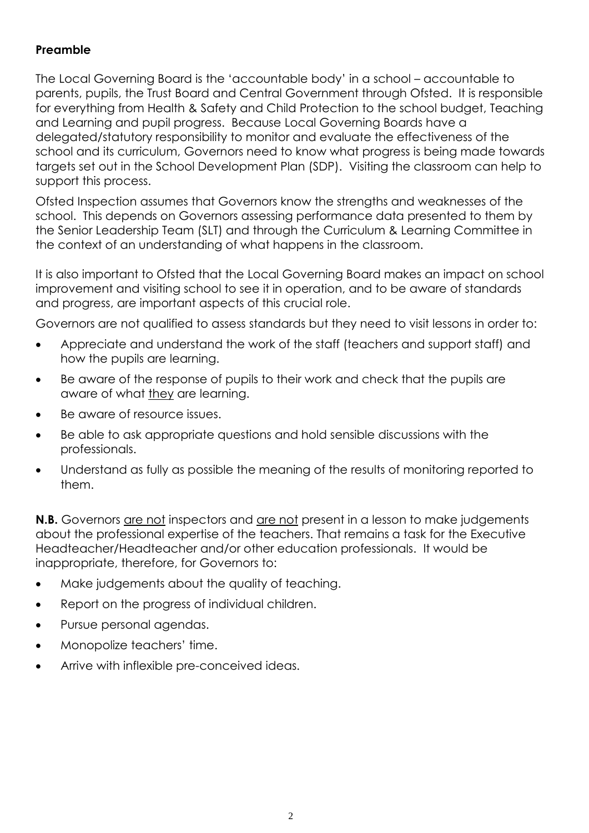## **Preamble**

The Local Governing Board is the 'accountable body' in a school – accountable to parents, pupils, the Trust Board and Central Government through Ofsted. It is responsible for everything from Health & Safety and Child Protection to the school budget, Teaching and Learning and pupil progress. Because Local Governing Boards have a delegated/statutory responsibility to monitor and evaluate the effectiveness of the school and its curriculum, Governors need to know what progress is being made towards targets set out in the School Development Plan (SDP). Visiting the classroom can help to support this process.

Ofsted Inspection assumes that Governors know the strengths and weaknesses of the school. This depends on Governors assessing performance data presented to them by the Senior Leadership Team (SLT) and through the Curriculum & Learning Committee in the context of an understanding of what happens in the classroom.

It is also important to Ofsted that the Local Governing Board makes an impact on school improvement and visiting school to see it in operation, and to be aware of standards and progress, are important aspects of this crucial role.

Governors are not qualified to assess standards but they need to visit lessons in order to:

- Appreciate and understand the work of the staff (teachers and support staff) and how the pupils are learning.
- Be aware of the response of pupils to their work and check that the pupils are aware of what they are learning.
- Be aware of resource issues.
- Be able to ask appropriate questions and hold sensible discussions with the professionals.
- Understand as fully as possible the meaning of the results of monitoring reported to them.

**N.B.** Governors are not inspectors and are not present in a lesson to make judgements about the professional expertise of the teachers. That remains a task for the Executive Headteacher/Headteacher and/or other education professionals. It would be inappropriate, therefore, for Governors to:

- Make judgements about the quality of teaching.
- Report on the progress of individual children.
- Pursue personal agendas.
- Monopolize teachers' time.
- Arrive with inflexible pre-conceived ideas.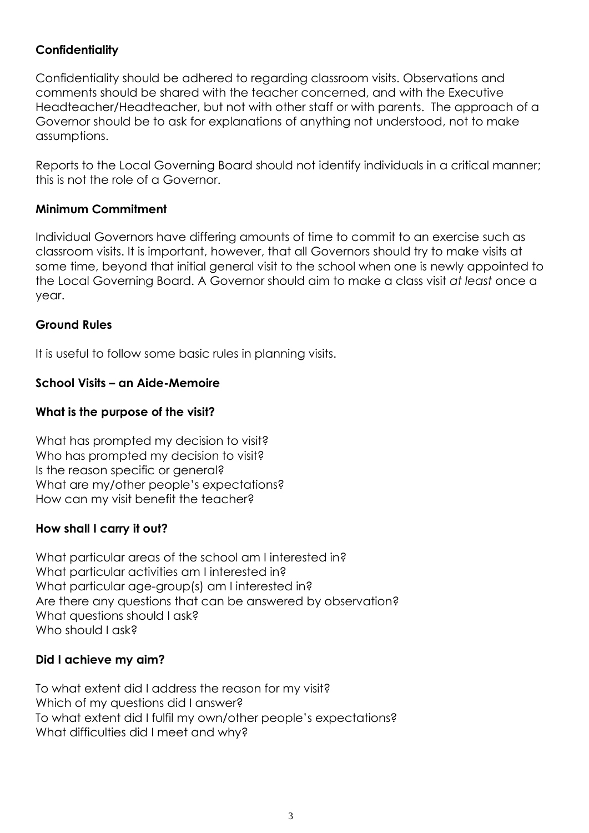## **Confidentiality**

Confidentiality should be adhered to regarding classroom visits. Observations and comments should be shared with the teacher concerned, and with the Executive Headteacher/Headteacher, but not with other staff or with parents. The approach of a Governor should be to ask for explanations of anything not understood, not to make assumptions.

Reports to the Local Governing Board should not identify individuals in a critical manner; this is not the role of a Governor.

#### **Minimum Commitment**

Individual Governors have differing amounts of time to commit to an exercise such as classroom visits. It is important, however, that all Governors should try to make visits at some time, beyond that initial general visit to the school when one is newly appointed to the Local Governing Board. A Governor should aim to make a class visit *at least* once a year.

### **Ground Rules**

It is useful to follow some basic rules in planning visits.

## **School Visits – an Aide-Memoire**

## **What is the purpose of the visit?**

What has prompted my decision to visit? Who has prompted my decision to visit? Is the reason specific or general? What are my/other people's expectations? How can my visit benefit the teacher?

#### **How shall I carry it out?**

What particular areas of the school am I interested in? What particular activities am I interested in? What particular age-group(s) am I interested in? Are there any questions that can be answered by observation? What questions should I ask? Who should I ask?

## **Did I achieve my aim?**

To what extent did I address the reason for my visit? Which of my questions did I answer? To what extent did I fulfil my own/other people's expectations? What difficulties did I meet and why?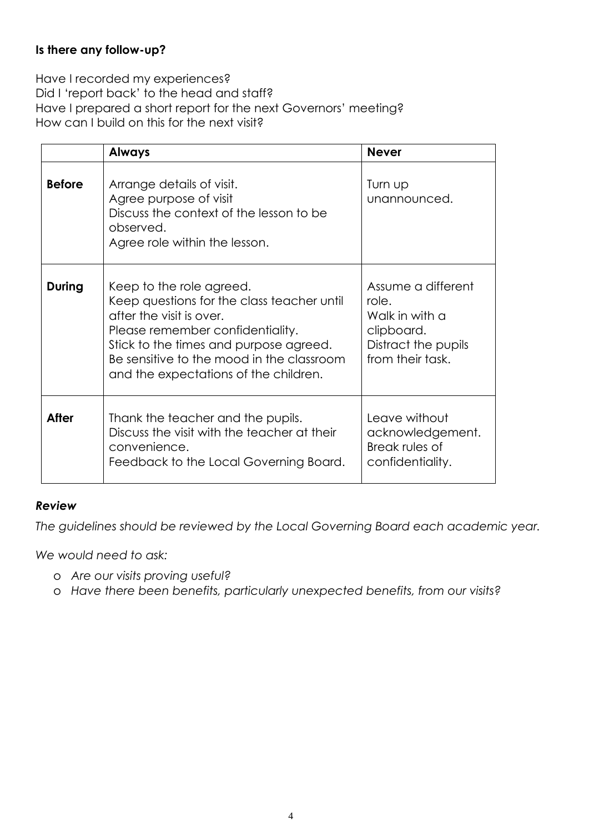### **Is there any follow-up?**

Have I recorded my experiences? Did I 'report back' to the head and staff? Have I prepared a short report for the next Governors' meeting? How can I build on this for the next visit?

|               | <b>Always</b>                                                                                                                                                                                                                                                          | <b>Never</b>                                                                                           |
|---------------|------------------------------------------------------------------------------------------------------------------------------------------------------------------------------------------------------------------------------------------------------------------------|--------------------------------------------------------------------------------------------------------|
| <b>Before</b> | Arrange details of visit.<br>Agree purpose of visit<br>Discuss the context of the lesson to be<br>observed.<br>Agree role within the lesson.                                                                                                                           | Turn up<br>unannounced.                                                                                |
| <b>During</b> | Keep to the role agreed.<br>Keep questions for the class teacher until<br>after the visit is over.<br>Please remember confidentiality.<br>Stick to the times and purpose agreed.<br>Be sensitive to the mood in the classroom<br>and the expectations of the children. | Assume a different<br>role.<br>Walk in with a<br>clipboard.<br>Distract the pupils<br>from their task. |
| <b>After</b>  | Thank the teacher and the pupils.<br>Discuss the visit with the teacher at their<br>convenience.<br>Feedback to the Local Governing Board.                                                                                                                             | Leave without<br>acknowledgement.<br>Break rules of<br>confidentiality.                                |

#### *Review*

*The guidelines should be reviewed by the Local Governing Board each academic year.* 

*We would need to ask:*

- o *Are our visits proving useful?*
- o *Have there been benefits, particularly unexpected benefits, from our visits?*